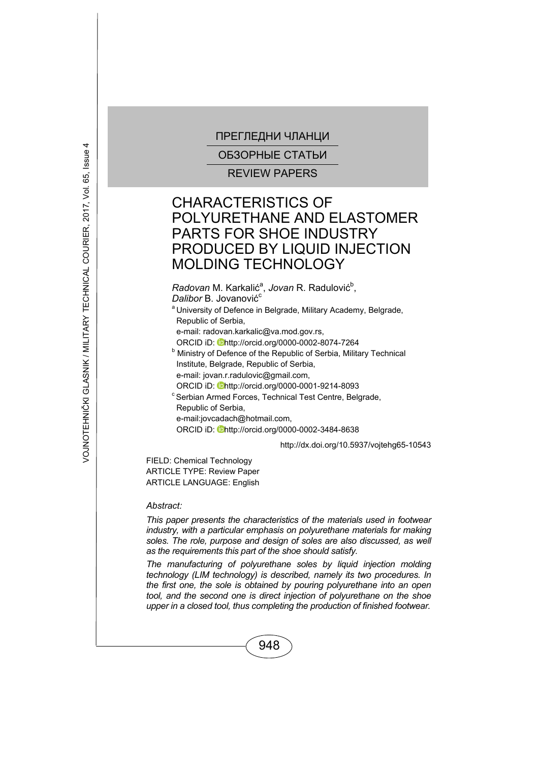ОБЗОРНЫЕ СТАТЬИ

REVIEW PAPERS

# CHARACTERISTICS OF POLYURETHANE AND ELASTOMER PARTS FOR SHOE INDUSTRY PRODUCED BY LIQUID INJECTION MOLDING TECHNOLOGY

Radovan M. Karkalić<sup>a</sup>, Jovan R. Radulović<sup>b</sup>,

*Dalibor B. Jovanović*<sup>c</sup>

<sup>a</sup> University of Defence in Belgrade, Military Academy, Belgrade, Republic of Serbia,

e-mail: radovan.karkalic@va.mod.gov.rs,

ORCID iD: **Dhttp://orcid.org/0000-0002-8074-7264** 

**b** Ministry of Defence of the Republic of Serbia, Military Technical Institute, Belgrade, Republic of Serbia, e-mail: jovan.r.radulovic@gmail.com,

- 
- ORCID iD: **Ohttp://orcid.org/0000-0001-9214-8093**<br>
<sup>c</sup> Serbian Armed Forces, Technical Test Centre, Belgrade, Republic of Serbia, e-mail:jovcadach@hotmail.com,

ORCID iD: Dhttp://orcid.org/0000-0002-3484-8638

http://dx.doi.org/10.5937/vojtehg65-10543

FIELD: Chemical Technology ARTICLE TYPE: Review Paper ARTICLE LANGUAGE: English

*Abstract:* 

*This paper presents the characteristics of the materials used in footwear industry, with a particular emphasis on polyurethane materials for making*  soles. The role, purpose and design of soles are also discussed, as well *as the requirements this part of the shoe should satisfy.* 

*The manufacturing of polyurethane soles by liquid injection molding technology (LIM technology) is described, namely its two procedures. In the first one, the sole is obtained by pouring polyurethane into an open tool, and the second one is direct injection of polyurethane on the shoe upper in a closed tool, thus completing the production of finished footwear.*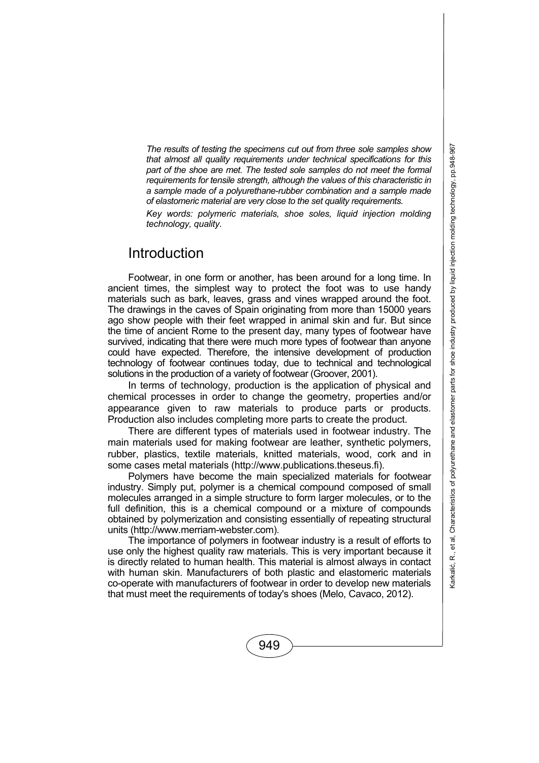*The results of testing the specimens cut out from three sole samples show that almost all quality requirements under technical specifications for this part of the shoe are met. The tested sole samples do not meet the formal requirements for tensile strength, although the values of this characteristic in a sample made of a polyurethane-rubber combination and a sample made of elastomeric material are very close to the set quality requirements.* 

*Key words: polymeric materials, shoe soles, liquid injection molding technology, quality.* 

### Introduction

Footwear, in one form or another, has been around for a long time. In ancient times, the simplest way to protect the foot was to use handy materials such as bark, leaves, grass and vines wrapped around the foot. The drawings in the caves of Spain originating from more than 15000 years ago show people with their feet wrapped in animal skin and fur. But since the time of ancient Rome to the present day, many types of footwear have survived, indicating that there were much more types of footwear than anyone could have expected. Therefore, the intensive development of production technology of footwear continues today, due to technical and technological solutions in the production of a variety of footwear (Groover, 2001).

In terms of technology, production is the application of physical and chemical processes in order to change the geometry, properties and/or appearance given to raw materials to produce parts or products. Production also includes completing more parts to create the product.

There are different types of materials used in footwear industry. The main materials used for making footwear are leather, synthetic polymers, rubber, plastics, textile materials, knitted materials, wood, cork and in some cases metal materials (http://www.publications.theseus.fi).

Polymers have become the main specialized materials for footwear industry. Simply put, polymer is a chemical compound composed of small molecules arranged in a simple structure to form larger molecules, or to the full definition, this is a chemical compound or a mixture of compounds obtained by polymerization and consisting essentially of repeating structural units (http://www.merriam-webster.com).

The importance of polymers in footwear industry is a result of efforts to use only the highest quality raw materials. This is very important because it is directly related to human health. This material is almost always in contact with human skin. Manufacturers of both plastic and elastomeric materials co-operate with manufacturers of footwear in order to develop new materials that must meet the requirements of today's shoes (Melo, Cavaco, 2012).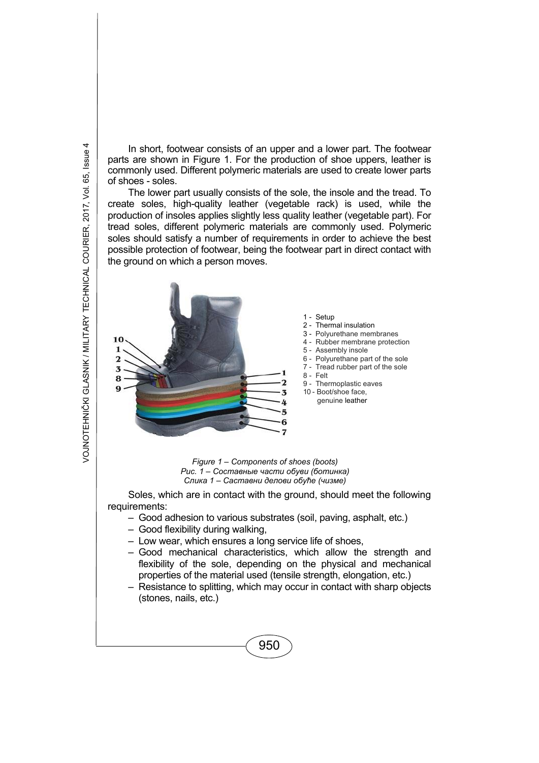In short, footwear consists of an upper and a lower part. The footwear parts are shown in Figure 1. For the production of shoe uppers, leather is commonly used. Different polymeric materials are used to create lower parts of shoes - soles.

The lower part usually consists of the sole, the insole and the tread. To create soles, high-quality leather (vegetable rack) is used, while the production of insoles applies slightly less quality leather (vegetable part). For tread soles, different polymeric materials are commonly used. Polymeric soles should satisfy a number of requirements in order to achieve the best possible protection of footwear, being the footwear part in direct contact with the ground on which a person moves.



1 - Setup

- 2 Thermal insulation
- 3 Polyurethane membranes
- 4 Rubber membrane protection
- 5 Assembly insole
- 6 Polyurethane part of the sole
- 7 Tread rubber part of the sole
- 8 Felt
- 9 Thermoplastic eaves
- 10 Boot/shoe face,
- genuine leather

*Figure 1 – Components of shoes (boots) Рис. 1 – Составные части обуви (ботинка) Слика 1 – Саставни делови обуће (чизме)*

Soles, which are in contact with the ground, should meet the following requirements:

- Good adhesion to various substrates (soil, paving, asphalt, etc.)
- Good flexibility during walking,
- Low wear, which ensures a long service life of shoes,
- Good mechanical characteristics, which allow the strength and flexibility of the sole, depending on the physical and mechanical properties of the material used (tensile strength, elongation, etc.)
- Resistance to splitting, which may occur in contact with sharp objects (stones, nails, etc.)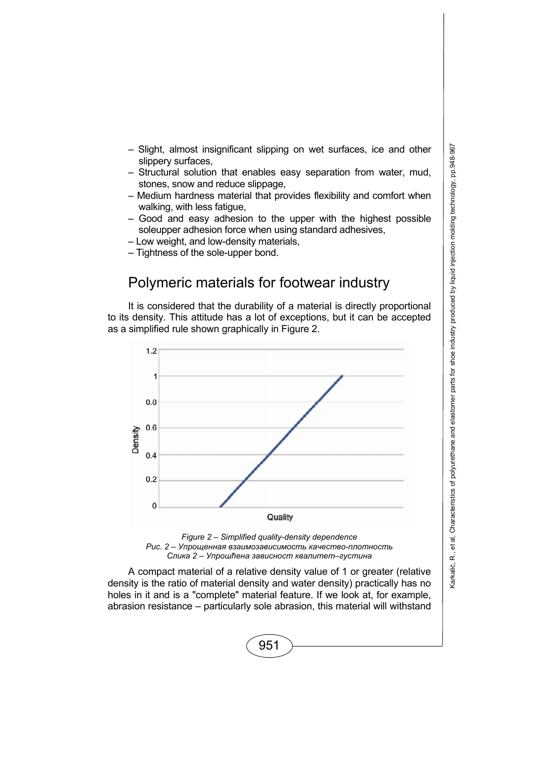- Slight, almost insignificant slipping on wet surfaces, ice and other slippery surfaces,
- Structural solution that enables easy separation from water, mud, stones, snow and reduce slippage,
- Medium hardness material that provides flexibility and comfort when walking, with less fatigue,
- Good and easy adhesion to the upper with the highest possible soleupper adhesion force when using standard adhesives,
- Low weight, and low-density materials,
- Tightness of the sole-upper bond.

# Polymeric materials for footwear industry

It is considered that the durability of a material is directly proportional to its density. This attitude has a lot of exceptions, but it can be accepted as a simplified rule shown graphically in Figure 2.





A compact material of a relative density value of 1 or greater (relative density is the ratio of material density and water density) practically has no holes in it and is a "complete" material feature. If we look at, for example, abrasion resistance – particularly sole abrasion, this material will withstand

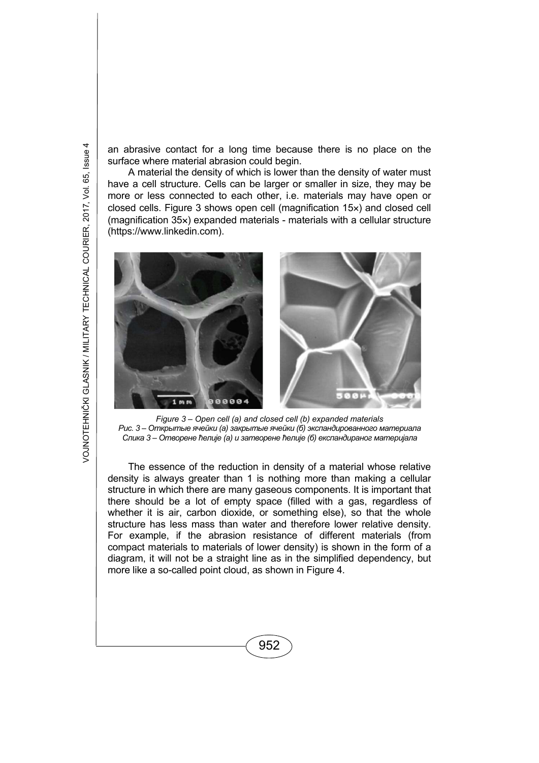an abrasive contact for a long time because there is no place on the surface where material abrasion could begin.

A material the density of which is lower than the density of water must have a cell structure. Cells can be larger or smaller in size, they may be more or less connected to each other, i.e. materials may have open or closed cells. Figure 3 shows open cell (magnification 15x) and closed cell (magnification  $35x$ ) expanded materials - materials with a cellular structure (https://www.linkedin.com).



*Figure 3 – Open cell (a) and closed cell (b) expanded materials Рис. 3 – Открытые ячейки (а) закрытые ячейки (б) экспандированного материала Слика 3 – Отворене ћелије (а) и затворене ћелије (б) експандираног материјала*

The essence of the reduction in density of a material whose relative density is always greater than 1 is nothing more than making a cellular structure in which there are many gaseous components. It is important that there should be a lot of empty space (filled with a gas, regardless of whether it is air, carbon dioxide, or something else), so that the whole structure has less mass than water and therefore lower relative density. For example, if the abrasion resistance of different materials (from compact materials to materials of lower density) is shown in the form of a diagram, it will not be a straight line as in the simplified dependency, but more like a so-called point cloud, as shown in Figure 4.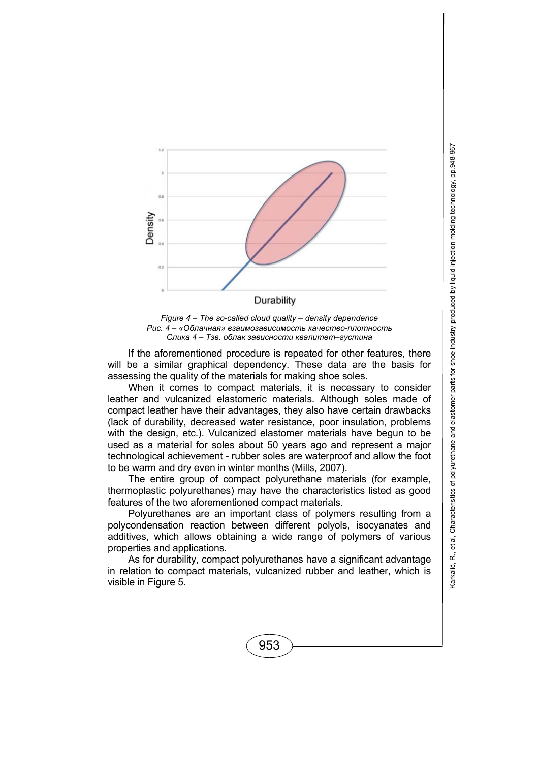



If the aforementioned procedure is repeated for other features, there will be a similar graphical dependency. These data are the basis for assessing the quality of the materials for making shoe soles.

When it comes to compact materials, it is necessary to consider leather and vulcanized elastomeric materials. Although soles made of compact leather have their advantages, they also have certain drawbacks (lack of durability, decreased water resistance, poor insulation, problems with the design, etc.). Vulcanized elastomer materials have begun to be used as a material for soles about 50 years ago and represent a major technological achievement - rubber soles are waterproof and allow the foot to be warm and dry even in winter months (Mills, 2007).

The entire group of compact polyurethane materials (for example, thermoplastic polyurethanes) may have the characteristics listed as good features of the two aforementioned compact materials.

Polyurethanes are an important class of polymers resulting from a polycondensation reaction between different polyols, isocyanates and additives, which allows obtaining a wide range of polymers of various properties and applications.

As for durability, compact polyurethanes have a significant advantage in relation to compact materials, vulcanized rubber and leather, which is visible in Figure 5.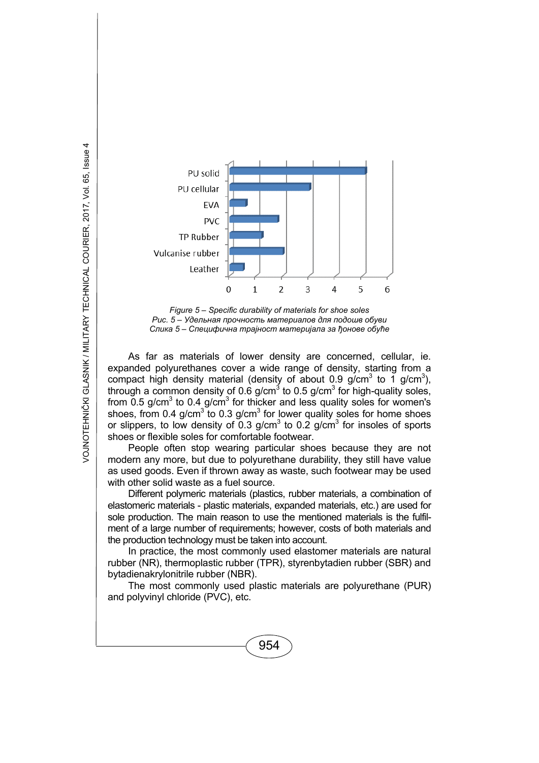

*Figure 5 – Specific durability of materials for shoe soles Рис. 5 – Удельная прочность материалов для подошв обуви Слика 5 – Специфична трајност материјала за ђонове обуће*

As far as materials of lower density are concerned, cellular, ie. expanded polyurethanes cover a wide range of density, starting from a compact high density material (density of about 0.9 g/cm<sup>3</sup> to 1 g/cm<sup>3</sup>), through a common density of 0.6 g/cm<sup>3</sup> to 0.5 g/cm<sup>3</sup> for high-quality soles, from  $0.5$  g/cm<sup>3</sup> to  $0.4$  g/cm<sup>3</sup> for thicker and less quality soles for women's shoes, from 0.4 g/cm<sup>3</sup> to 0.3 g/cm<sup>3</sup> for lower quality soles for home shoes or slippers, to low density of 0.3 g/cm<sup>3</sup> to 0.2 g/cm<sup>3</sup> for insoles of sports shoes or flexible soles for comfortable footwear.

People often stop wearing particular shoes because they are not modern any more, but due to polyurethane durability, they still have value as used goods. Even if thrown away as waste, such footwear may be used with other solid waste as a fuel source.

Different polymeric materials (plastics, rubber materials, a combination of elastomeric materials - plastic materials, expanded materials, etc.) are used for sole production. The main reason to use the mentioned materials is the fulfilment of a large number of requirements; however, costs of both materials and the production technology must be taken into account.

In practice, the most commonly used elastomer materials are natural rubber (NR), thermoplastic rubber (TPR), styrenbytadien rubber (SBR) and bytadienakrylonitrile rubber (NBR).

The most commonly used plastic materials are polyurethane (PUR) and polyvinyl chloride (PVC), etc.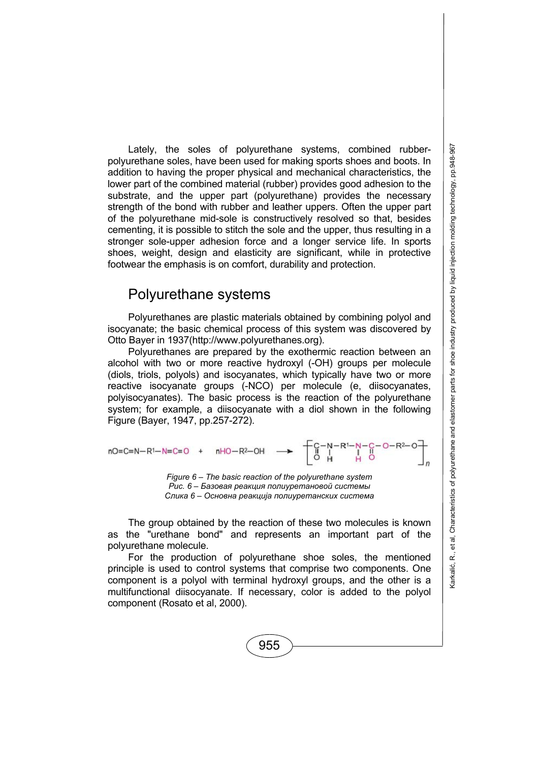Lately, the soles of polyurethane systems, combined rubberpolyurethane soles, have been used for making sports shoes and boots. In addition to having the proper physical and mechanical characteristics, the lower part of the combined material (rubber) provides good adhesion to the substrate, and the upper part (polyurethane) provides the necessary strength of the bond with rubber and leather uppers. Often the upper part of the polyurethane mid-sole is constructively resolved so that, besides cementing, it is possible to stitch the sole and the upper, thus resulting in a stronger sole-upper adhesion force and a longer service life. In sports shoes, weight, design and elasticity are significant, while in protective footwear the emphasis is on comfort, durability and protection.

### Polyurethane systems

Polyurethanes are plastic materials obtained by combining polyol and isocyanate; the basic chemical process of this system was discovered by Otto Bayer in 1937(http://www.polyurethanes.org).

Polyurethanes are prepared by the exothermic reaction between an alcohol with two or more reactive hydroxyl (-OH) groups per molecule (diols, triols, polyols) and isocyanates, which typically have two or more reactive isocyanate groups (-NCO) per molecule (e, diisocyanates, polyisocyanates). The basic process is the reaction of the polyurethane system; for example, a diisocyanate with a diol shown in the following Figure (Bayer, 1947, pp.257-272).

nO= C=N-R<sup>1</sup>-N=C=O + nHO-R<sup>2</sup>-OH 
$$
\longrightarrow
$$
 
$$
\begin{bmatrix} C-N-R^1-N-C-O-R^2-O\\ O & H & I\\ O & H & O \end{bmatrix}
$$
  
\nFigure 6 – The basic reaction of the polyurethane system  
\nPuc. 6 – 5asoean pearuun nonuypemанoeoŭ cucmembl

*Слика 6 – Основна реакција полиуретанских система*

The group obtained by the reaction of these two molecules is known as the "urethane bond" and represents an important part of the polyurethane molecule.

For the production of polyurethane shoe soles, the mentioned principle is used to control systems that comprise two components. One component is a polyol with terminal hydroxyl groups, and the other is a multifunctional diisocyanate. If necessary, color is added to the polyol component (Rosato et al, 2000).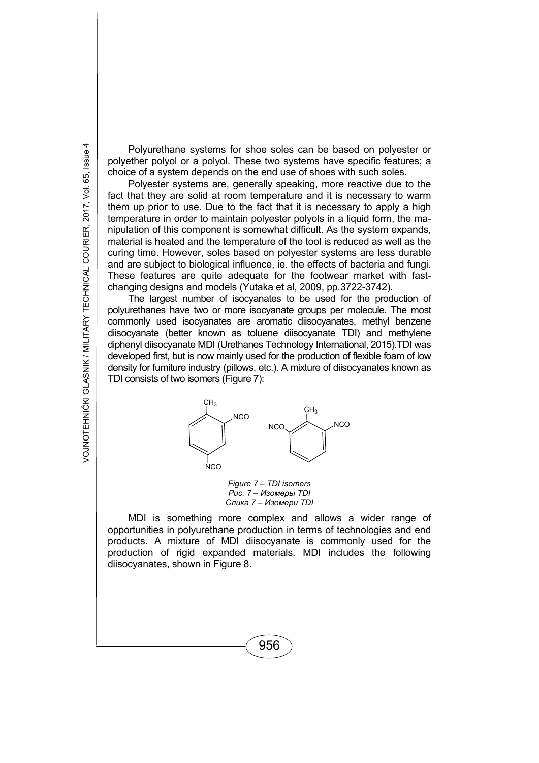Polyurethane systems for shoe soles can be based on polyester or polyether polyol or a polyol. These two systems have specific features; a choice of a system depends on the end use of shoes with such soles.

Polyester systems are, generally speaking, more reactive due to the fact that they are solid at room temperature and it is necessary to warm them up prior to use. Due to the fact that it is necessary to apply a high temperature in order to maintain polyester polyols in a liquid form, the manipulation of this component is somewhat difficult. As the system expands, material is heated and the temperature of the tool is reduced as well as the curing time. However, soles based on polyester systems are less durable and are subject to biological influence, ie. the effects of bacteria and fungi. These features are quite adequate for the footwear market with fastchanging designs and models (Yutaka et al, 2009, pp.3722-3742).

The largest number of isocyanates to be used for the production of polyurethanes have two or more isocyanate groups per molecule. The most commonly used isocyanates are aromatic diisocyanates, methyl benzene diisocyanate (better known as toluene diisocyanate TDI) and methylene diphenyl diisocyanate MDI (Urethanes Technology International, 2015).TDI was developed first, but is now mainly used for the production of flexible foam of low density for furniture industry (pillows, etc.). A mixture of diisocyanates known as TDI consists of two isomers (Figure 7):



*Figure 7 – TDI isomers Рис. 7 – Изомеры TDI Слика 7 – Изомери TDI* 

MDI is something more complex and allows a wider range of opportunities in polyurethane production in terms of technologies and end products. A mixture of MDI diisocyanate is commonly used for the production of rigid expanded materials. MDI includes the following diisocyanates, shown in Figure 8.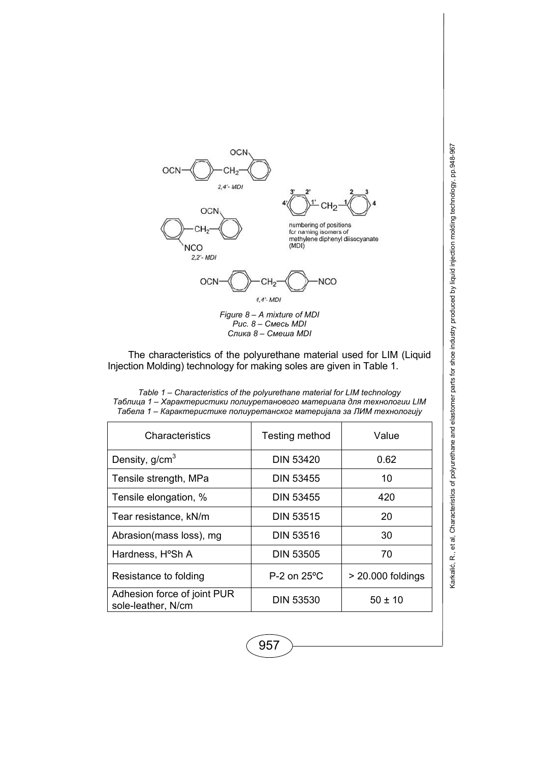

$$
OCN \longrightarrow C H_2 \longrightarrow D
$$

*Figure 8 – A mixture of MDI Рис. 8 – Смесь MDI Слика 8 – Смеша MDI* 

The characteristics of the polyurethane material used for LIM (Liquid Injection Molding) technology for making soles are given in Table 1.

| Table 1 – Characteristics of the polyurethane material for LIM technology |
|---------------------------------------------------------------------------|
| Таблица 1 – Характеристики полиуретанового материала для технологии LIM   |
| Табела 1 – Карактеристике полиуретанског материјала за ЛИМ технологију    |

| Characteristics                                   | Testing method   | Value               |
|---------------------------------------------------|------------------|---------------------|
| Density, g/cm <sup>3</sup>                        | <b>DIN 53420</b> | 0.62                |
| Tensile strength, MPa                             | <b>DIN 53455</b> | 10                  |
| Tensile elongation, %                             | <b>DIN 53455</b> | 420                 |
| Tear resistance, kN/m                             | <b>DIN 53515</b> | 20                  |
| Abrasion(mass loss), mg                           | <b>DIN 53516</b> | 30                  |
| Hardness, H°Sh A                                  | <b>DIN 53505</b> | 70                  |
| Resistance to folding                             | P-2 on 25°C      | $>$ 20.000 foldings |
| Adhesion force of joint PUR<br>sole-leather, N/cm | <b>DIN 53530</b> | $50 \pm 10$         |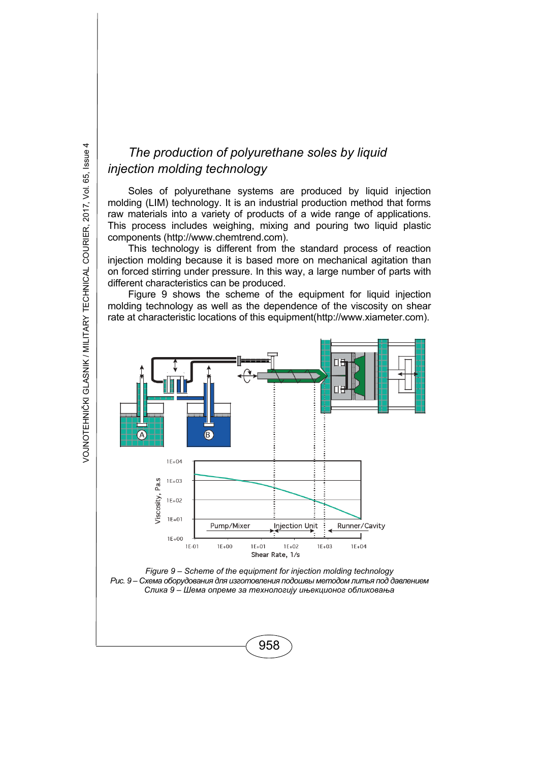# *The production of polyurethane soles by liquid injection molding technology*

Soles of polyurethane systems are produced by liquid injection molding (LIM) technology. It is an industrial production method that forms raw materials into a variety of products of a wide range of applications. This process includes weighing, mixing and pouring two liquid plastic components (http://www.chemtrend.com).

This technology is different from the standard process of reaction injection molding because it is based more on mechanical agitation than on forced stirring under pressure. In this way, a large number of parts with different characteristics can be produced.

Figure 9 shows the scheme of the equipment for liquid injection molding technology as well as the dependence of the viscosity on shear rate at characteristic locations of this equipment(http://www.xiameter.com).



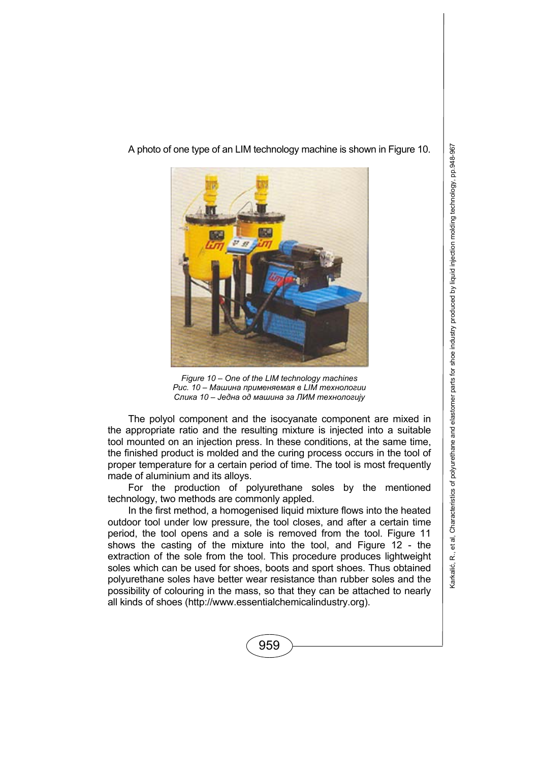A photo of one type of an LIM technology machine is shown in Figure 10.



*Figure 10 – One of the LIM technology machines Рис. 10 – Машина применяемая в LIM технологии Слика 10 – Једна од машина за ЛИМ технологију*

The polyol component and the isocyanate component are mixed in the appropriate ratio and the resulting mixture is injected into a suitable tool mounted on an injection press. In these conditions, at the same time, the finished product is molded and the curing process occurs in the tool of proper temperature for a certain period of time. The tool is most frequently made of aluminium and its alloys.

For the production of polyurethane soles by the mentioned technology, two methods are commonly appled.

In the first method, a homogenised liquid mixture flows into the heated outdoor tool under low pressure, the tool closes, and after a certain time period, the tool opens and a sole is removed from the tool. Figure 11 shows the casting of the mixture into the tool, and Figure 12 - the extraction of the sole from the tool. This procedure produces lightweight soles which can be used for shoes, boots and sport shoes. Thus obtained polyurethane soles have better wear resistance than rubber soles and the possibility of colouring in the mass, so that they can be attached to nearly all kinds of shoes (http://www.essentialchemicalindustry.org).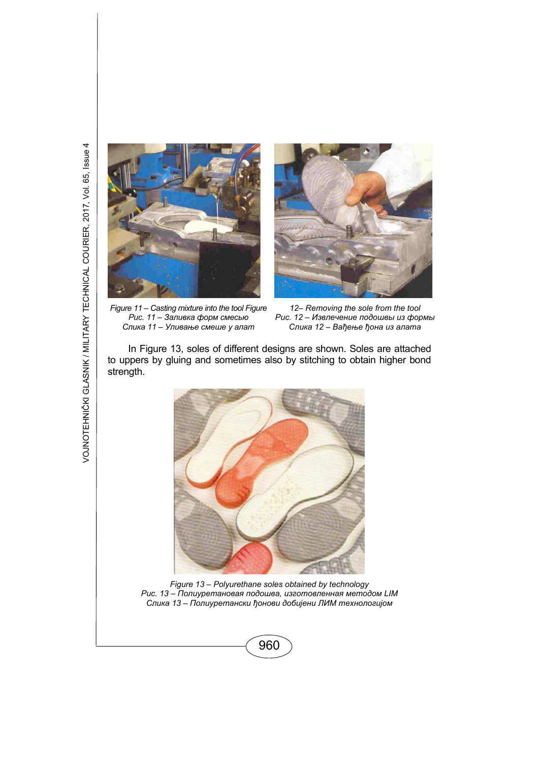



*Figure 11 – Casting mixture into the tool Figure Рис. 11 – Заливка форм смесью Слика 11 – Уливање смеше у алат*

*12– Removing the sole from the tool Рис. 12 – Извлечение подошвы из формы Слика 12 – Вађење ђона из алата*

In Figure 13, soles of different designs are shown. Soles are attached to uppers by gluing and sometimes also by stitching to obtain higher bond strength.



*Figure 13 – Polyurethane soles obtained by technology Рис. 13 – Полиуретановая подошва, изготовленная методом LIM Слика 13 – Полиуретански ђонови добијени ЛИМ технологијом*

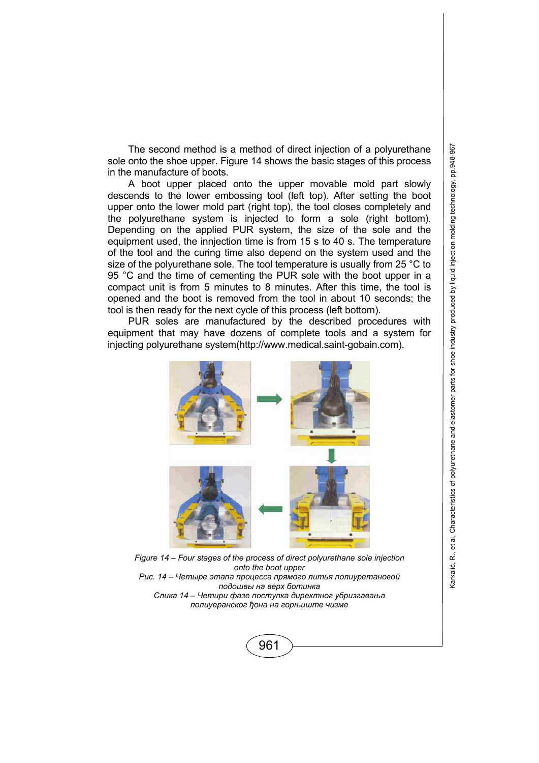The second method is a method of direct injection of a polyurethane sole onto the shoe upper. Figure 14 shows the basic stages of this process in the manufacture of boots.

A boot upper placed onto the upper movable mold part slowly descends to the lower embossing tool (left top). After setting the boot upper onto the lower mold part (right top), the tool closes completely and the polyurethane system is injected to form a sole (right bottom). Depending on the applied PUR system, the size of the sole and the equipment used, the innjection time is from 15 s to 40 s. The temperature of the tool and the curing time also depend on the system used and the size of the polyurethane sole. The tool temperature is usually from 25 °C to 95 °C and the time of cementing the PUR sole with the boot upper in a compact unit is from 5 minutes to 8 minutes. After this time, the tool is opened and the boot is removed from the tool in about 10 seconds; the tool is then ready for the next cycle of this process (left bottom).

PUR soles are manufactured by the described procedures with equipment that may have dozens of complete tools and a system for injecting polyurethane system(http://www.medical.saint-gobain.com).



*Figure 14 – Four stages of the process of direct polyurethane sole injection onto the boot upper Рис. 14 – Четыре этапа процесса прямого литья полиуретановой подошвы на верх ботинка Слика 14 – Четири фазе поступка директног убризгавања полиуеранског ђона на горњиште чизме*

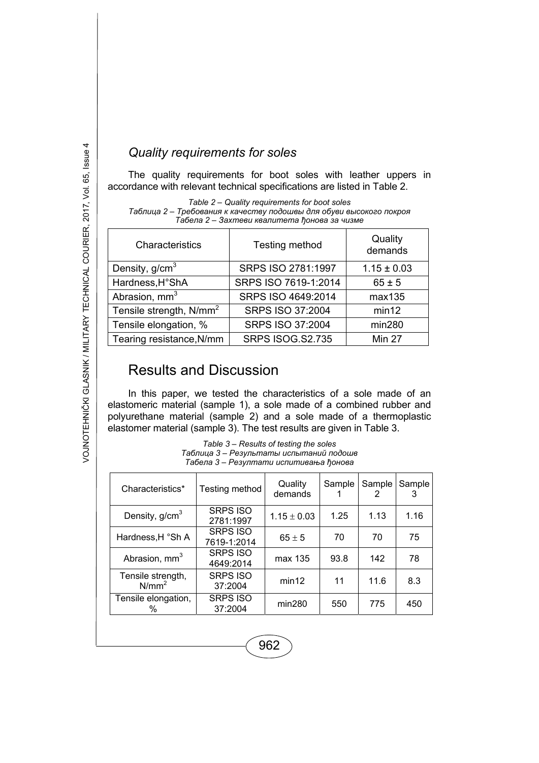### *Quality requirements for soles*

The quality requirements for boot soles with leather uppers in accordance with relevant technical specifications are listed in Table 2.

*Table 2 – Quality requirements for boot soles Таблица 2 – Требования к качеству подошвы для обуви высокого покроя Табела 2 – Захтеви квалитета ђонова за чизме*

| Characteristics                     | Testing method          | Quality<br>demands |
|-------------------------------------|-------------------------|--------------------|
| Density, $g/cm3$                    | SRPS ISO 2781:1997      | $1.15 \pm 0.03$    |
| Hardness, H°ShA                     | SRPS ISO 7619-1:2014    | $65 \pm 5$         |
| Abrasion, mm <sup>3</sup>           | SRPS ISO 4649:2014      | max135             |
| Tensile strength, N/mm <sup>2</sup> | SRPS ISO 37:2004        | min12              |
| Tensile elongation, %               | SRPS ISO 37:2004        | min280             |
| Tearing resistance, N/mm            | <b>SRPS ISOG.S2.735</b> | Min 27             |

# Results and Discussion

In this paper, we tested the characteristics of a sole made of an elastomeric material (sample 1), a sole made of a combined rubber and polyurethane material (sample 2) and a sole made of a thermoplastic elastomer material (sample 3). The test results are given in Table 3.

| Table 3 – Results of testing the soles  |
|-----------------------------------------|
| Таблица 3 – Результаты испытаний подошв |
| Табела 3 – Резултати испитивања ћонова  |

| Characteristics*                       | Testing method                 | Quality<br>demands | Sample | Sample | Sample |
|----------------------------------------|--------------------------------|--------------------|--------|--------|--------|
| Density, $g/cm3$                       | <b>SRPS ISO</b><br>2781:1997   | $1.15 \pm 0.03$    | 1.25   | 1.13   | 1.16   |
| Hardness, H °Sh A                      | <b>SRPS ISO</b><br>7619-1:2014 | $65 \pm 5$         | 70     | 70     | 75     |
| Abrasion, mm <sup>3</sup>              | <b>SRPS ISO</b><br>4649:2014   | max 135            | 93.8   | 142    | 78     |
| Tensile strength,<br>N/mm <sup>2</sup> | <b>SRPS ISO</b><br>37:2004     | min12              | 11     | 11.6   | 8.3    |
| Tensile elongation,<br>%               | <b>SRPS ISO</b><br>37:2004     | min280             | 550    | 775    | 450    |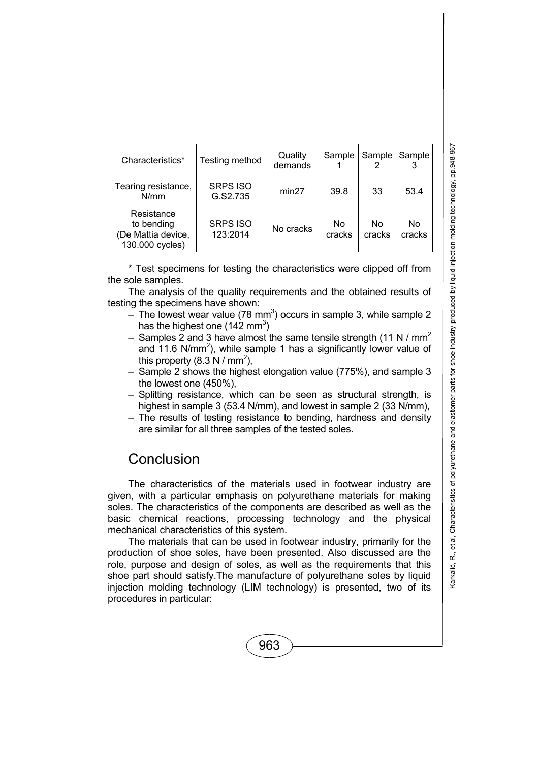| Characteristics*                                                  | Testing method              | Quality<br>demands | Sample       | Sample       | Sample       |
|-------------------------------------------------------------------|-----------------------------|--------------------|--------------|--------------|--------------|
| Tearing resistance,<br>N/mm                                       | <b>SRPS ISO</b><br>G.S2.735 | min27              | 39.8         | 33           | 53.4         |
| Resistance<br>to bending<br>(De Mattia device,<br>130.000 cycles) | <b>SRPS ISO</b><br>123:2014 | No cracks          | No<br>cracks | No<br>cracks | No<br>cracks |

\* Test specimens for testing the characteristics were clipped off from the sole samples.

The analysis of the quality requirements and the obtained results of testing the specimens have shown:

- $-$  The lowest wear value (78 mm<sup>3</sup>) occurs in sample 3, while sample 2 has the highest one (142 mm<sup>3</sup>)
- Samples 2 and 3 have almost the same tensile strength (11 N /  $mm<sup>2</sup>$ and 11.6 N/mm<sup>2</sup>), while sample 1 has a significantly lower value of this property  $(8.3 \text{ N} / \text{mm}^2)$ ,
- Sample 2 shows the highest elongation value (775%), and sample 3 the lowest one (450%),
- Splitting resistance, which can be seen as structural strength, is highest in sample 3 (53.4 N/mm), and lowest in sample 2 (33 N/mm),
- The results of testing resistance to bending, hardness and density are similar for all three samples of the tested soles.

### **Conclusion**

The characteristics of the materials used in footwear industry are given, with a particular emphasis on polyurethane materials for making soles. The characteristics of the components are described as well as the basic chemical reactions, processing technology and the physical mechanical characteristics of this system.

The materials that can be used in footwear industry, primarily for the production of shoe soles, have been presented. Also discussed are the role, purpose and design of soles, as well as the requirements that this shoe part should satisfy.The manufacture of polyurethane soles by liquid injection molding technology (LIM technology) is presented, two of its procedures in particular: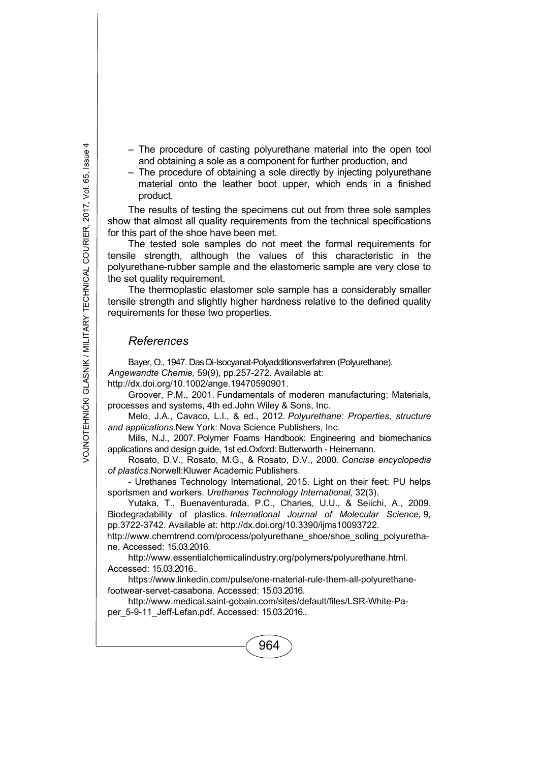- The procedure of casting polyurethane material into the open tool and obtaining a sole as a component for further production, and
- The procedure of obtaining a sole directly by injecting polyurethane material onto the leather boot upper, which ends in a finished product.

The results of testing the specimens cut out from three sole samples show that almost all quality requirements from the technical specifications for this part of the shoe have been met.

The tested sole samples do not meet the formal requirements for tensile strength, although the values of this characteristic in the polyurethane-rubber sample and the elastomeric sample are very close to the set quality requirement.

The thermoplastic elastomer sole sample has a considerably smaller tensile strength and slightly higher hardness relative to the defined quality requirements for these two properties.

#### *References*

Bayer, O., 1947. Das Di-Isocyanat-Polyadditionsverfahren (Polyurethane). *Angewandte Chemie,* 59(9), pp.257-272. Available at: http://dx.doi.org/10.1002/ange.19470590901.

Groover, P.M., 2001. Fundamentals of moderen manufacturing: Materials, processes and systems, 4th ed.John Wiley & Sons, Inc.

Melo, J.A., Cavaco, L.I., & ed., 2012. *Polyurethane: Properties, structure and applications*.New York: Nova Science Publishers, Inc.

Mills, N.J., 2007. Polymer Foams Handbook: Engineering and biomechanics applications and design guide, 1st ed.Oxford: Butterworth - Heinemann.

Rosato, D.V., Rosato, M.G., & Rosato, D.V., 2000. *Concise encyclopedia of plastics*.Norwell:Kluwer Academic Publishers.

- Urethanes Technology International, 2015. Light on their feet: PU helps sportsmen and workers. *Urethanes Technology International,* 32(3).

Yutaka, T., Buenaventurada, P.C., Charles, U.U., & Seiichi, A., 2009. Biodegradability of plastics. *International Journal of Molecular Science,* 9, pp.3722-3742. Available at: http://dx.doi.org/10.3390/ijms10093722.

http://www.chemtrend.com/process/polyurethane\_shoe/shoe\_soling\_polyurethane. Accessed: 15.03.2016.

http://www.essentialchemicalindustry.org/polymers/polyurethane.html. Accessed: 15.03.2016..

https://www.linkedin.com/pulse/one-material-rule-them-all-polyurethanefootwear-servet-casabona. Accessed: 15.03.2016.

http://www.medical.saint-gobain.com/sites/default/files/LSR-White-Paper\_5-9-11\_Jeff-Lefan.pdf. Accessed: 15.03.2016..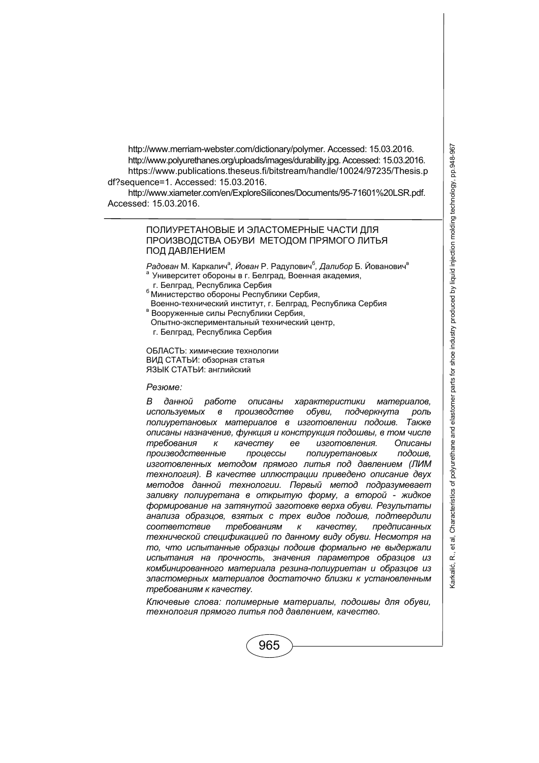http://www.merriam-webster.com/dictionary/polymer. Accessed: 15.03.2016. http://www.polyurethanes.org/uploads/images/durability.jpg. Accessed: 15.03.2016. https://www.publications.theseus.fi/bitstream/handle/10024/97235/Thesis.p df?sequence=1. Accessed: 15.03.2016.

http://www.xiameter.com/en/ExploreSilicones/Documents/95-71601%20LSR.pdf. Accessed: 15.03.2016.

#### ПОЛИУРЕТАНОВЫЕ И ЭЛАСТОМЕРНЫЕ ЧАСТИ ДЛЯ ПРОИЗВОДСТВА ОБУВИ МЕТОДОМ ПРЯМОГО ЛИТЬЯ ПОД ДАВЛЕНИЕМ

*Радован* М. Каркалич<sup>а</sup>, *Йован* Р. Радулович<sup>б</sup>, Далибор Б. Йованович<sup>в</sup> а Университет обороны в г. Белград, Военная академия, г. Белград, Гавитова, Г. Белград, Г. Белград, Г.

- 
- <sup>6</sup> Министерство обороны Республики Сербия, Военно-технический институт, г. Белград, Республика Сербия<br><sup>в</sup> Вооруженные силы Республики Сербия,
- 
- Опытно-экспериментальный технический центр,

г. Белград, Республика Сербия

ОБЛАСТЬ: химические технологии ВИД СТАТЬИ: обзорная статья ЯЗЫК СТАТЬИ: английский

#### *Резюме:*

*В данной работе описаны характеристики материалов, используемых в производстве обуви, подчеркнута роль полиуретановых материалов в изготовлении подошв. Также описаны назначение, функция и конструкция подошвы, в том числе требования к качеству ее изготовления. Описаны производственные процессы полиуретановых подошв, изготовленных методом прямого литья под давлением (ЛИМ технология). В качестве иллюстрации приведено описание двух методов данной технологии. Первый метод подразумевает заливку полиуретана в открытую форму, а второй - жидкое формирование на затянутой заготовке верха обуви. Результаты анализа образцов, взятых с трех видов подошв, подтвердили соответствие требованиям к качеству, предписанных технической спецификацией по данному виду обуви. Несмотря на то, что испытанные образцы подошв формально не выдержали испытания на прочность, значения параметров образцов из комбинированного материала резина-полиуриетан и образцов из эластомерных материалов достаточно близки к установленным требованиям к качеству.* 

*Ключевые слова: полимерные материалы, подошвы для обуви, технология прямого литья под давлением, качество.*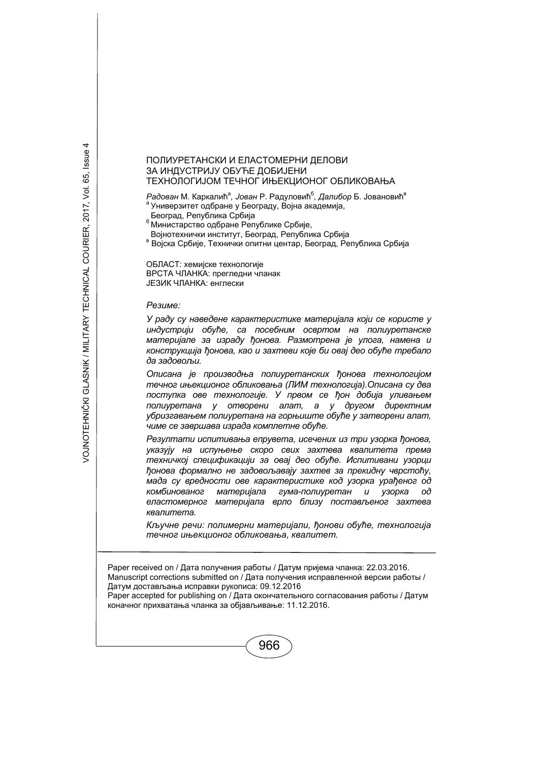#### ПОЛИУРЕТАНСКИ И ЕЛАСТОМЕРНИ ДЕЛОВИ ЗА ИНДУСТРИЈУ ОБУЋЕ ДОБИЈЕНИ ТЕХНОЛОГИЈОМ ТЕЧНОГ ИЊЕКЦИОНОГ ОБЛИКОВАЊА

 $P$ адован М. Каркалић<sup>а</sup>, Јован Р. Радуловић<sup>6</sup>, Далибор Б. Јовановић<sup>в</sup> <sup>а</sup> Универзитет одбране у Београду, Војна академија,

Београд, Република Србија<br><sup>6</sup> Министарство одбране Републике Србије,<br>Војнотехнички институт, Београд, Република Србија

в Војска Србије, Технички опитни центар, Београд, Република Србија

ОБЛАСТ: хемијске технологије ВРСТА ЧЛАНКА: прегледни чланак ЈЕЗИК ЧЛАНКА: енглески

#### *Резиме:*

*У раду су наведене карактеристике материјала који се користе у индустрији обуће, са посебним освртом на полиуретанске материјале за израду ђонова. Размотрена је улога, намена и конструкција ђонова, као и захтеви које би овај део обуће требало да задовољи.* 

*Описана је производња полиуретанских ђонова технологијом течног ињекционог обликовања (ЛИМ технологија).Описана су два поступка ове технологије. У првом се ђон добија уливањем полиуретана у отворени алат, а у другом директним убризгавањем полиуретана на горњиште обуће у затворени алат, чиме се завршава израда комплетне обуће.* 

*Резултати испитивања епрувета, исечених из три узорка ђонова, указују на испуњење скоро свих захтева квалитета према техничкој спецификацији за овај део обуће. Испитивани узорци ђонова формално не задовољавају захтев за прекидну чврстоћу, мада су вредности ове карактеристике код узорка урађеног од комбинованог материјала гума-полиуретан и узорка од еластомерног материјала врло близу постављеног захтева квалитета.* 

*Кључне речи: полимерни материјали, ђонови обуће, технологија течног ињекционог обликовања, квалитет.* 

Paper received on / Дата получения работы / Датум пријема чланка: 22.03.2016. Manuscript corrections submitted on / Дата получения исправленной версии работы / Датум достављања исправки рукописа: 09.12.2016

Paper accepted for publishing on / Дата окончательного согласования работы / Датум коначног прихватања чланка за објављивање: 11.12.2016.